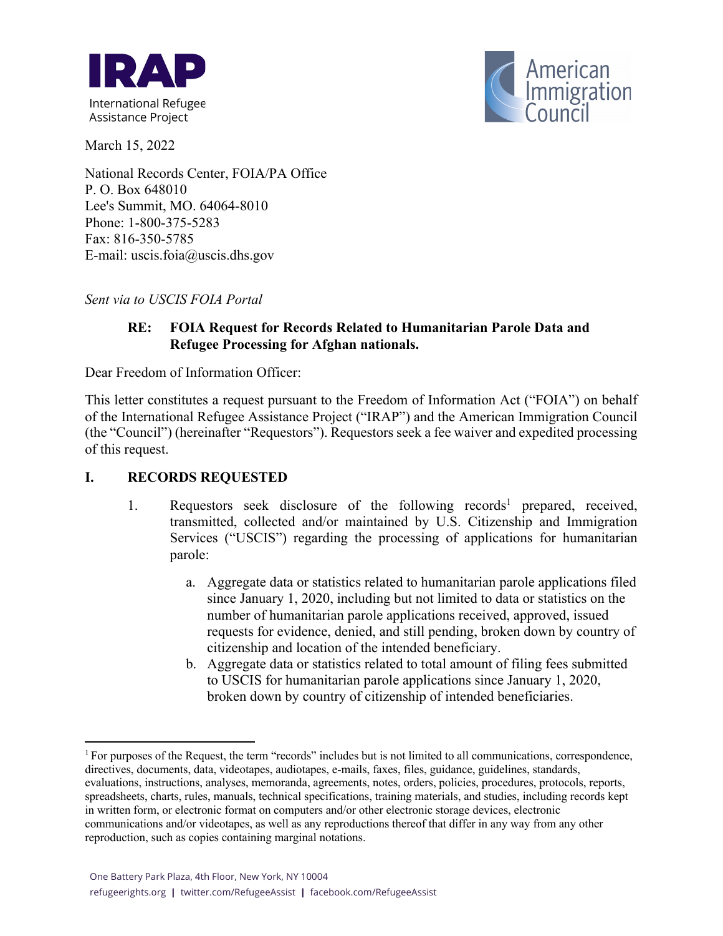



March 15, 2022

National Records Center, FOIA/PA Office P. O. Box 648010 Lee's Summit, MO. 64064-8010 Phone: 1-800-375-5283 Fax: 816-350-5785 E-mail: uscis.foia@uscis.dhs.gov

*Sent via to USCIS FOIA Portal*

### **RE: FOIA Request for Records Related to Humanitarian Parole Data and Refugee Processing for Afghan nationals.**

Dear Freedom of Information Officer:

This letter constitutes a request pursuant to the Freedom of Information Act ("FOIA") on behalf of the International Refugee Assistance Project ("IRAP") and the American Immigration Council (the "Council") (hereinafter "Requestors"). Requestors seek a fee waiver and expedited processing of this request.

#### **I. RECORDS REQUESTED**

- 1. Requestors seek disclosure of the following records<sup>1</sup> prepared, received, transmitted, collected and/or maintained by U.S. Citizenship and Immigration Services ("USCIS") regarding the processing of applications for humanitarian parole:
	- a. Aggregate data or statistics related to humanitarian parole applications filed since January 1, 2020, including but not limited to data or statistics on the number of humanitarian parole applications received, approved, issued requests for evidence, denied, and still pending, broken down by country of citizenship and location of the intended beneficiary.
	- b. Aggregate data or statistics related to total amount of filing fees submitted to USCIS for humanitarian parole applications since January 1, 2020, broken down by country of citizenship of intended beneficiaries.

 $1$  For purposes of the Request, the term "records" includes but is not limited to all communications, correspondence, directives, documents, data, videotapes, audiotapes, e-mails, faxes, files, guidance, guidelines, standards, evaluations, instructions, analyses, memoranda, agreements, notes, orders, policies, procedures, protocols, reports, spreadsheets, charts, rules, manuals, technical specifications, training materials, and studies, including records kept in written form, or electronic format on computers and/or other electronic storage devices, electronic communications and/or videotapes, as well as any reproductions thereof that differ in any way from any other reproduction, such as copies containing marginal notations.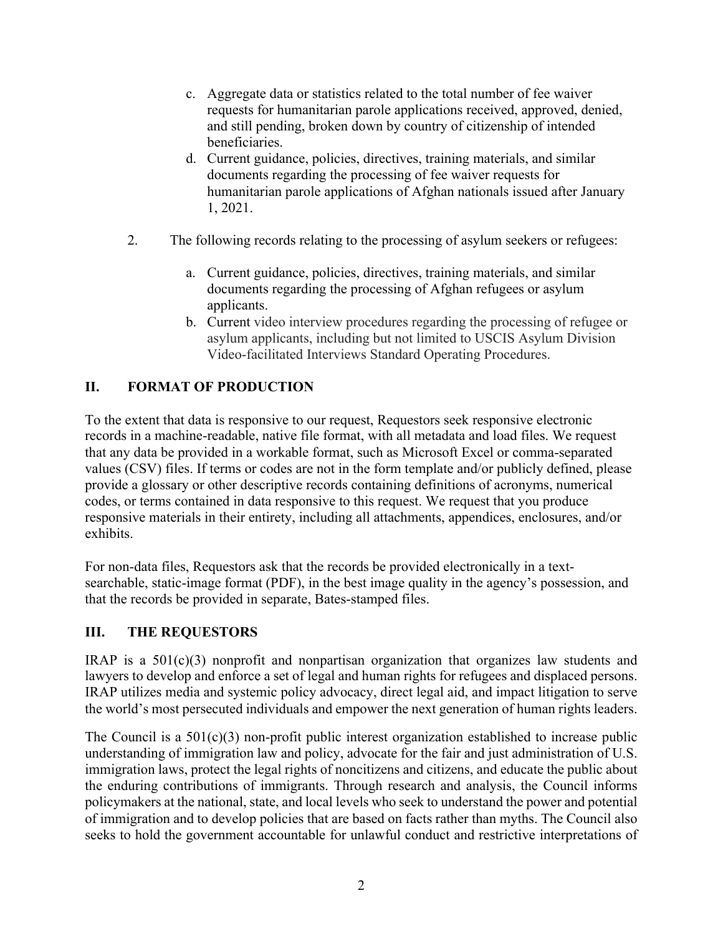- c. Aggregate data or statistics related to the total number of fee waiver requests for humanitarian parole applications received, approved, denied, and still pending, broken down by country of citizenship of intended beneficiaries.
- d. Current guidance, policies, directives, training materials, and similar documents regarding the processing of fee waiver requests for humanitarian parole applications of Afghan nationals issued after January 1, 2021.
- 2. The following records relating to the processing of asylum seekers or refugees:
	- a. Current guidance, policies, directives, training materials, and similar documents regarding the processing of Afghan refugees or asylum applicants.
	- b. Current video interview procedures regarding the processing of refugee or asylum applicants, including but not limited to USCIS Asylum Division Video-facilitated Interviews Standard Operating Procedures.

## **II. FORMAT OF PRODUCTION**

To the extent that data is responsive to our request, Requestors seek responsive electronic records in a machine-readable, native file format, with all metadata and load files. We request that any data be provided in a workable format, such as Microsoft Excel or comma-separated values (CSV) files. If terms or codes are not in the form template and/or publicly defined, please provide a glossary or other descriptive records containing definitions of acronyms, numerical codes, or terms contained in data responsive to this request. We request that you produce responsive materials in their entirety, including all attachments, appendices, enclosures, and/or exhibits.

For non-data files, Requestors ask that the records be provided electronically in a textsearchable, static-image format (PDF), in the best image quality in the agency's possession, and that the records be provided in separate, Bates-stamped files.

### **III. THE REQUESTORS**

IRAP is a  $501(c)(3)$  nonprofit and nonpartisan organization that organizes law students and lawyers to develop and enforce a set of legal and human rights for refugees and displaced persons. IRAP utilizes media and systemic policy advocacy, direct legal aid, and impact litigation to serve the world's most persecuted individuals and empower the next generation of human rights leaders.

The Council is a  $501(c)(3)$  non-profit public interest organization established to increase public understanding of immigration law and policy, advocate for the fair and just administration of U.S. immigration laws, protect the legal rights of noncitizens and citizens, and educate the public about the enduring contributions of immigrants. Through research and analysis, the Council informs policymakers at the national, state, and local levels who seek to understand the power and potential of immigration and to develop policies that are based on facts rather than myths. The Council also seeks to hold the government accountable for unlawful conduct and restrictive interpretations of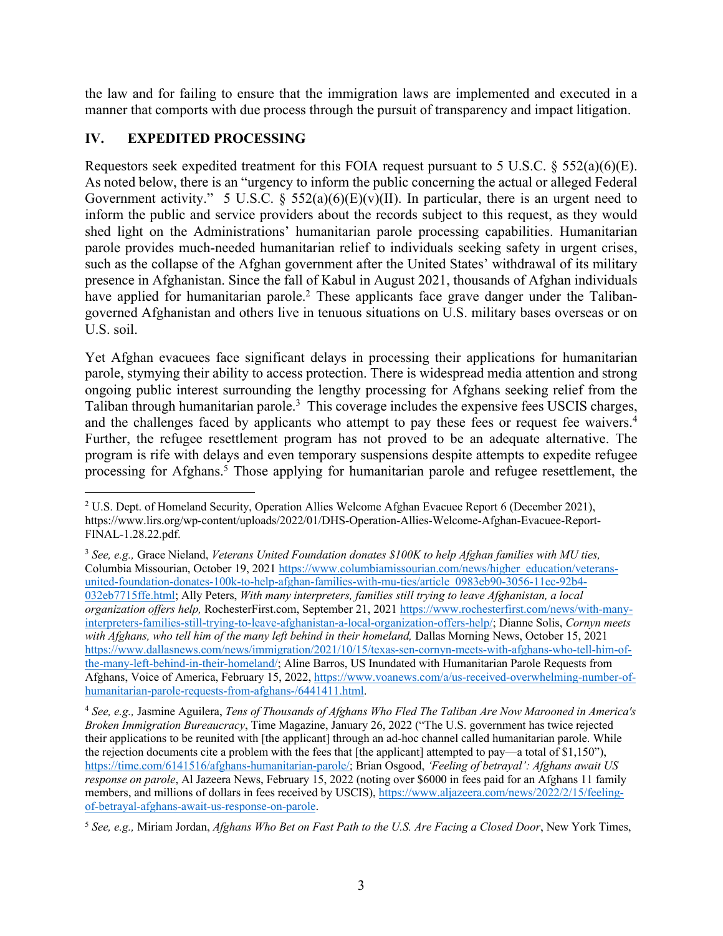the law and for failing to ensure that the immigration laws are implemented and executed in a manner that comports with due process through the pursuit of transparency and impact litigation. 

### **IV. EXPEDITED PROCESSING**

Requestors seek expedited treatment for this FOIA request pursuant to 5 U.S.C.  $\S$  552(a)(6)(E). As noted below, there is an "urgency to inform the public concerning the actual or alleged Federal Government activity." 5 U.S.C. § 552(a)(6)(E)(v)(II). In particular, there is an urgent need to inform the public and service providers about the records subject to this request, as they would shed light on the Administrations' humanitarian parole processing capabilities. Humanitarian parole provides much-needed humanitarian relief to individuals seeking safety in urgent crises, such as the collapse of the Afghan government after the United States' withdrawal of its military presence in Afghanistan. Since the fall of Kabul in August 2021, thousands of Afghan individuals have applied for humanitarian parole.<sup>2</sup> These applicants face grave danger under the Talibangoverned Afghanistan and others live in tenuous situations on U.S. military bases overseas or on U.S. soil.

Yet Afghan evacuees face significant delays in processing their applications for humanitarian parole, stymying their ability to access protection. There is widespread media attention and strong ongoing public interest surrounding the lengthy processing for Afghans seeking relief from the Taliban through humanitarian parole.<sup>3</sup> This coverage includes the expensive fees USCIS charges, and the challenges faced by applicants who attempt to pay these fees or request fee waivers.<sup>4</sup> Further, the refugee resettlement program has not proved to be an adequate alternative. The program is rife with delays and even temporary suspensions despite attempts to expedite refugee processing for Afghans.<sup>5</sup> Those applying for humanitarian parole and refugee resettlement, the

<sup>&</sup>lt;sup>2</sup> U.S. Dept. of Homeland Security, Operation Allies Welcome Afghan Evacuee Report 6 (December 2021), https://www.lirs.org/wp-content/uploads/2022/01/DHS-Operation-Allies-Welcome-Afghan-Evacuee-Report-FINAL-1.28.22.pdf.

<sup>3</sup> *See, e.g.,* Grace Nieland, *Veterans United Foundation donates \$100K to help Afghan families with MU ties,*  Columbia Missourian, October 19, 2021 https://www.columbiamissourian.com/news/higher\_education/veteransunited-foundation-donates-100k-to-help-afghan-families-with-mu-ties/article\_0983eb90-3056-11ec-92b4- 032eb7715ffe.html; Ally Peters, *With many interpreters, families still trying to leave Afghanistan, a local organization offers help,* RochesterFirst.com, September 21, 2021 https://www.rochesterfirst.com/news/with-manyinterpreters-families-still-trying-to-leave-afghanistan-a-local-organization-offers-help/; Dianne Solis, *Cornyn meets*  with Afghans, who tell him of the many left behind in their homeland, Dallas Morning News, October 15, 2021 https://www.dallasnews.com/news/immigration/2021/10/15/texas-sen-cornyn-meets-with-afghans-who-tell-him-ofthe-many-left-behind-in-their-homeland/; Aline Barros, US Inundated with Humanitarian Parole Requests from Afghans, Voice of America, February 15, 2022, https://www.voanews.com/a/us-received-overwhelming-number-ofhumanitarian-parole-requests-from-afghans-/6441411.html.

<sup>4</sup> *See, e.g.,* Jasmine Aguilera, *Tens of Thousands of Afghans Who Fled The Taliban Are Now Marooned in America's Broken Immigration Bureaucracy*, Time Magazine, January 26, 2022 ("The U.S. government has twice rejected their applications to be reunited with [the applicant] through an ad-hoc channel called humanitarian parole. While the rejection documents cite a problem with the fees that [the applicant] attempted to pay—a total of \$1,150"), https://time.com/6141516/afghans-humanitarian-parole/; Brian Osgood, *'Feeling of betrayal': Afghans await US response on parole*, Al Jazeera News, February 15, 2022 (noting over \$6000 in fees paid for an Afghans 11 family members, and millions of dollars in fees received by USCIS), https://www.aljazeera.com/news/2022/2/15/feelingof-betrayal-afghans-await-us-response-on-parole.

<sup>5</sup> *See, e.g.,* Miriam Jordan, *Afghans Who Bet on Fast Path to the U.S. Are Facing a Closed Door*, New York Times,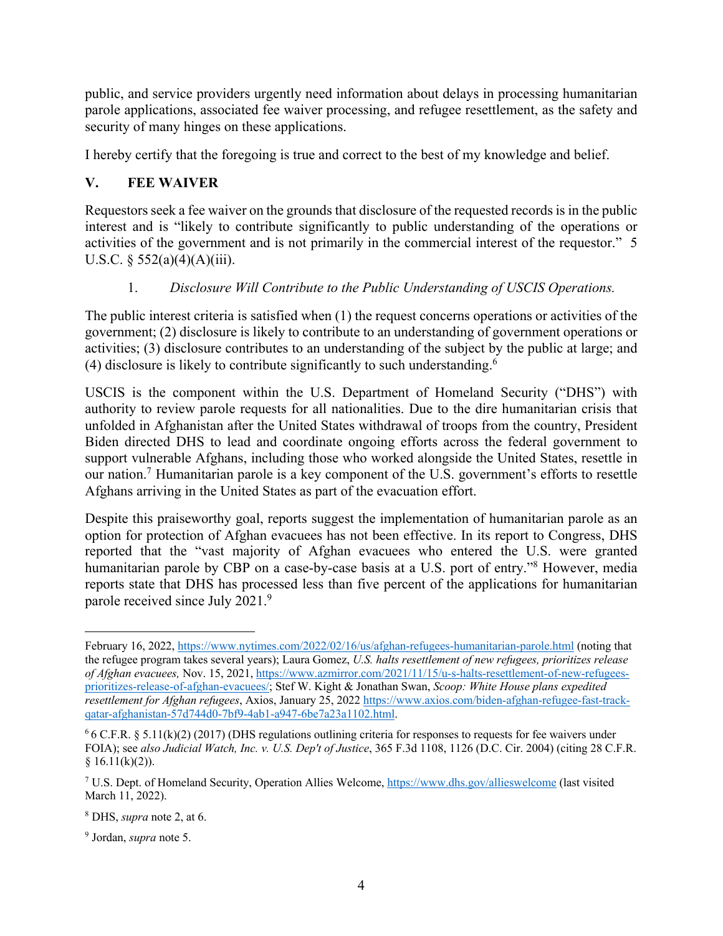public, and service providers urgently need information about delays in processing humanitarian parole applications, associated fee waiver processing, and refugee resettlement, as the safety and security of many hinges on these applications.

I hereby certify that the foregoing is true and correct to the best of my knowledge and belief.

# **V. FEE WAIVER**

Requestors seek a fee waiver on the grounds that disclosure of the requested records is in the public interest and is "likely to contribute significantly to public understanding of the operations or activities of the government and is not primarily in the commercial interest of the requestor." 5 U.S.C.  $\S$  552(a)(4)(A)(iii).

## 1. *Disclosure Will Contribute to the Public Understanding of USCIS Operations.*

The public interest criteria is satisfied when (1) the request concerns operations or activities of the government; (2) disclosure is likely to contribute to an understanding of government operations or activities; (3) disclosure contributes to an understanding of the subject by the public at large; and (4) disclosure is likely to contribute significantly to such understanding.6

USCIS is the component within the U.S. Department of Homeland Security ("DHS") with authority to review parole requests for all nationalities. Due to the dire humanitarian crisis that unfolded in Afghanistan after the United States withdrawal of troops from the country, President Biden directed DHS to lead and coordinate ongoing efforts across the federal government to support vulnerable Afghans, including those who worked alongside the United States, resettle in our nation.7 Humanitarian parole is a key component of the U.S. government's efforts to resettle Afghans arriving in the United States as part of the evacuation effort.

Despite this praiseworthy goal, reports suggest the implementation of humanitarian parole as an option for protection of Afghan evacuees has not been effective. In its report to Congress, DHS reported that the "vast majority of Afghan evacuees who entered the U.S. were granted humanitarian parole by CBP on a case-by-case basis at a U.S. port of entry."<sup>8</sup> However, media reports state that DHS has processed less than five percent of the applications for humanitarian parole received since July 2021.9

February 16, 2022, https://www.nytimes.com/2022/02/16/us/afghan-refugees-humanitarian-parole.html (noting that the refugee program takes several years); Laura Gomez, *U.S. halts resettlement of new refugees, prioritizes release of Afghan evacuees,* Nov. 15, 2021, https://www.azmirror.com/2021/11/15/u-s-halts-resettlement-of-new-refugeesprioritizes-release-of-afghan-evacuees/; Stef W. Kight & Jonathan Swan, *Scoop: White House plans expedited resettlement for Afghan refugees*, Axios, January 25, 2022 https://www.axios.com/biden-afghan-refugee-fast-trackqatar-afghanistan-57d744d0-7bf9-4ab1-a947-6be7a23a1102.html.

 $6$  6 C.F.R. § 5.11(k)(2) (2017) (DHS regulations outlining criteria for responses to requests for fee waivers under FOIA); see *also Judicial Watch, Inc. v. U.S. Dep't of Justice*, 365 F.3d 1108, 1126 (D.C. Cir. 2004) (citing 28 C.F.R.  $§ 16.11(k)(2)).$ 

<sup>7</sup> U.S. Dept. of Homeland Security, Operation Allies Welcome, https://www.dhs.gov/allieswelcome (last visited March 11, 2022).

<sup>8</sup> DHS, *supra* note 2, at 6.

<sup>9</sup> Jordan, *supra* note 5.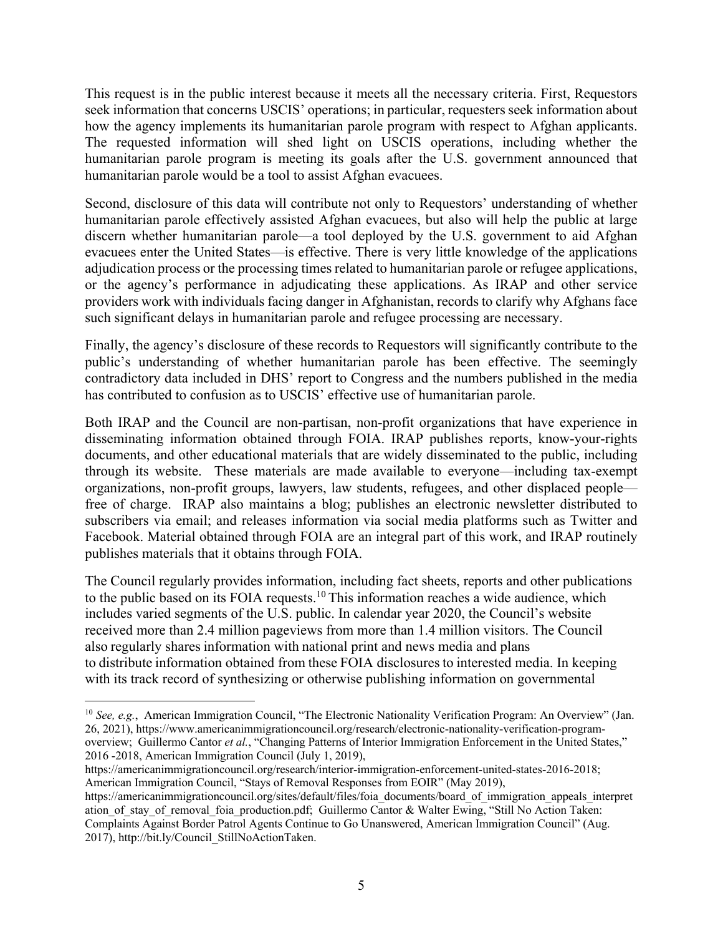This request is in the public interest because it meets all the necessary criteria. First, Requestors seek information that concerns USCIS' operations; in particular, requesters seek information about how the agency implements its humanitarian parole program with respect to Afghan applicants. The requested information will shed light on USCIS operations, including whether the humanitarian parole program is meeting its goals after the U.S. government announced that humanitarian parole would be a tool to assist Afghan evacuees.

Second, disclosure of this data will contribute not only to Requestors' understanding of whether humanitarian parole effectively assisted Afghan evacuees, but also will help the public at large discern whether humanitarian parole—a tool deployed by the U.S. government to aid Afghan evacuees enter the United States—is effective. There is very little knowledge of the applications adjudication process or the processing times related to humanitarian parole or refugee applications, or the agency's performance in adjudicating these applications. As IRAP and other service providers work with individuals facing danger in Afghanistan, records to clarify why Afghans face such significant delays in humanitarian parole and refugee processing are necessary.

Finally, the agency's disclosure of these records to Requestors will significantly contribute to the public's understanding of whether humanitarian parole has been effective. The seemingly contradictory data included in DHS' report to Congress and the numbers published in the media has contributed to confusion as to USCIS' effective use of humanitarian parole.

Both IRAP and the Council are non-partisan, non-profit organizations that have experience in disseminating information obtained through FOIA. IRAP publishes reports, know-your-rights documents, and other educational materials that are widely disseminated to the public, including through its website. These materials are made available to everyone—including tax-exempt organizations, non-profit groups, lawyers, law students, refugees, and other displaced people free of charge. IRAP also maintains a blog; publishes an electronic newsletter distributed to subscribers via email; and releases information via social media platforms such as Twitter and Facebook. Material obtained through FOIA are an integral part of this work, and IRAP routinely publishes materials that it obtains through FOIA.

The Council regularly provides information, including fact sheets, reports and other publications to the public based on its FOIA requests.<sup>10</sup> This information reaches a wide audience, which includes varied segments of the U.S. public. In calendar year 2020, the Council's website received more than 2.4 million pageviews from more than 1.4 million visitors. The Council also regularly shares information with national print and news media and plans to distribute information obtained from these FOIA disclosures to interested media. In keeping with its track record of synthesizing or otherwise publishing information on governmental

<sup>&</sup>lt;sup>10</sup> See, e.g., American Immigration Council, "The Electronic Nationality Verification Program: An Overview" (Jan. 26, 2021), https://www.americanimmigrationcouncil.org/research/electronic-nationality-verification-programoverview; Guillermo Cantor *et al.*, "Changing Patterns of Interior Immigration Enforcement in the United States," 2016 -2018, American Immigration Council (July 1, 2019),

https://americanimmigrationcouncil.org/research/interior-immigration-enforcement-united-states-2016-2018; American Immigration Council, "Stays of Removal Responses from EOIR" (May 2019),

https://americanimmigrationcouncil.org/sites/default/files/foia documents/board of immigration appeals interpret ation of stay of removal foia production.pdf; Guillermo Cantor & Walter Ewing, "Still No Action Taken: Complaints Against Border Patrol Agents Continue to Go Unanswered, American Immigration Council" (Aug. 2017), http://bit.ly/Council\_StillNoActionTaken.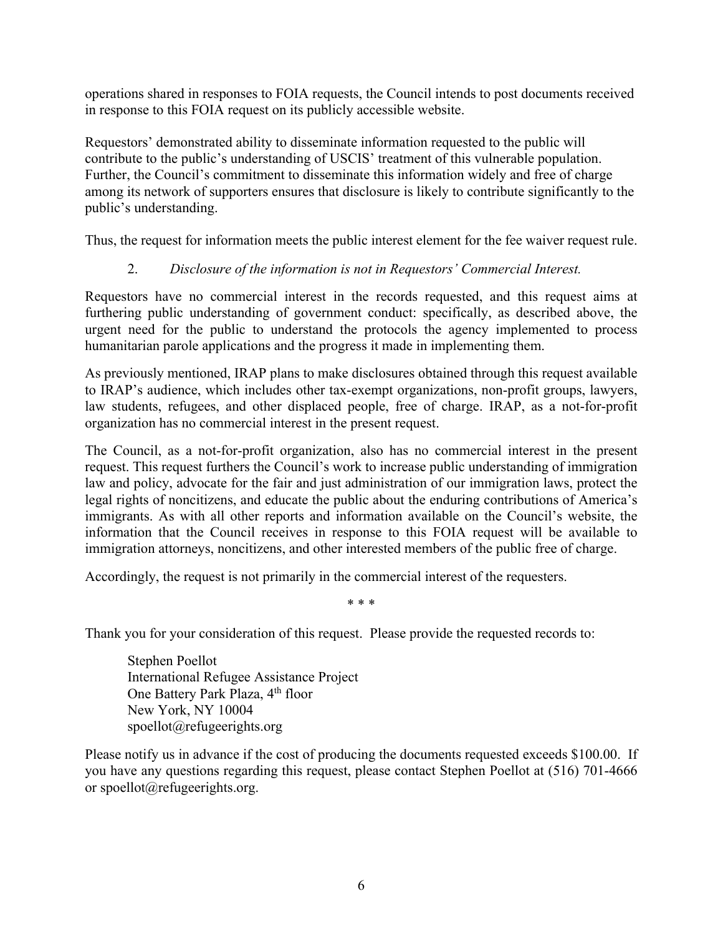operations shared in responses to FOIA requests, the Council intends to post documents received in response to this FOIA request on its publicly accessible website.

Requestors' demonstrated ability to disseminate information requested to the public will contribute to the public's understanding of USCIS' treatment of this vulnerable population. Further, the Council's commitment to disseminate this information widely and free of charge among its network of supporters ensures that disclosure is likely to contribute significantly to the public's understanding.

Thus, the request for information meets the public interest element for the fee waiver request rule.

### 2. *Disclosure of the information is not in Requestors' Commercial Interest.*

Requestors have no commercial interest in the records requested, and this request aims at furthering public understanding of government conduct: specifically, as described above, the urgent need for the public to understand the protocols the agency implemented to process humanitarian parole applications and the progress it made in implementing them.

As previously mentioned, IRAP plans to make disclosures obtained through this request available to IRAP's audience, which includes other tax-exempt organizations, non-profit groups, lawyers, law students, refugees, and other displaced people, free of charge. IRAP, as a not-for-profit organization has no commercial interest in the present request.

The Council, as a not-for-profit organization, also has no commercial interest in the present request. This request furthers the Council's work to increase public understanding of immigration law and policy, advocate for the fair and just administration of our immigration laws, protect the legal rights of noncitizens, and educate the public about the enduring contributions of America's immigrants. As with all other reports and information available on the Council's website, the information that the Council receives in response to this FOIA request will be available to immigration attorneys, noncitizens, and other interested members of the public free of charge.

Accordingly, the request is not primarily in the commercial interest of the requesters.

\* \* \*

Thank you for your consideration of this request. Please provide the requested records to:

Stephen Poellot International Refugee Assistance Project One Battery Park Plaza, 4<sup>th</sup> floor New York, NY 10004 spoellot@refugeerights.org

Please notify us in advance if the cost of producing the documents requested exceeds \$100.00. If you have any questions regarding this request, please contact Stephen Poellot at (516) 701-4666 or spoellot@refugeerights.org.